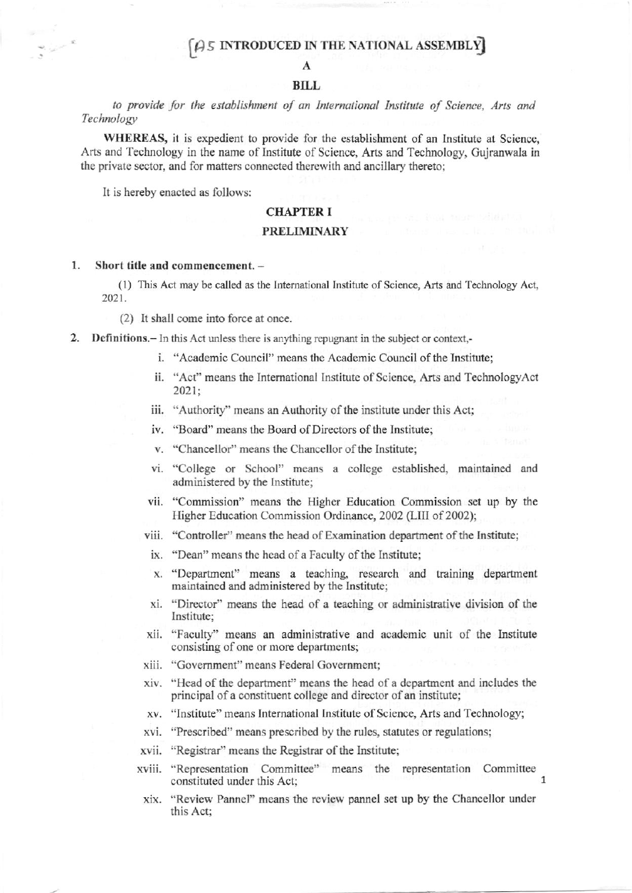# $\beta$  5 INTRODUCED IN THE NATIONAL ASSEMBLY

# **BILL**

to provide for the establishment of an International Institute of Science, Arts and Technology

WHEREAS, it is expedient to provide for the establishment of an Institute at Science, Arts and Technology in the name of Institute of Science, Arts and Technology, Gujranwala in the private sector, and for matters connected therewith and ancillary thereto;

It is hereby enacted as follows:

## **CHAPTER I**

# **PRELIMINARY**

#### Short title and commencement. -1.

(1) This Act may be called as the International Institute of Science, Arts and Technology Act, 2021.

(2) It shall come into force at once.

2. Definitions. - In this Act unless there is anything repugnant in the subject or context,-

- i. "Academic Council" means the Academic Council of the Institute;
- ii. "Act" means the International Institute of Science, Arts and TechnologyAct  $2021:$
- iii. "Authority" means an Authority of the institute under this Act;
- iv. "Board" means the Board of Directors of the Institute;
- v. "Chancellor" means the Chancellor of the Institute;
- vi. "College or School" means a college established, maintained and administered by the Institute;
- vii. "Commission" means the Higher Education Commission set up by the Higher Education Commission Ordinance, 2002 (LIII of 2002);
- viii. "Controller" means the head of Examination department of the Institute;
- ix. "Dean" means the head of a Faculty of the Institute;
- x. "Department" means a teaching, research and training department maintained and administered by the Institute;
- xi. "Director" means the head of a teaching or administrative division of the Institute:
- xii. "Faculty" means an administrative and academic unit of the Institute consisting of one or more departments;
- xiii. "Government" means Federal Government;
- xiv. "Head of the department" means the head of a department and includes the principal of a constituent college and director of an institute;
- xv. "Institute" means International Institute of Science, Arts and Technology;
- xvi. "Prescribed" means prescribed by the rules, statutes or regulations;
- xvii. "Registrar" means the Registrar of the Institute;
- xviii. "Representation Committee" means the representation Committee constituted under this Act;
- xix. "Review Pannel" means the review pannel set up by the Chancellor under this Act: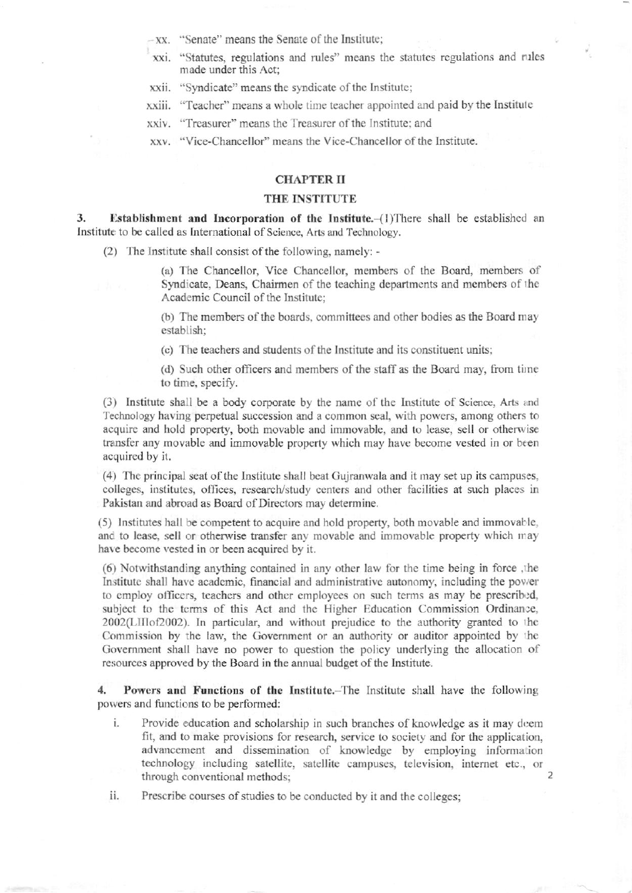$-xx$ . "Senate" means the Senate of the Institute:

- xxi. "Statutes, regulations and rules" means the statutes regulations and rules made under this Act;
- xxii. "Syndicate" means the syndicate of the Institute;

xxiii. "Teacher" means a whole time teacher appointed and paid by the Institute

xxiv. "Treasurer" means the Treasurer of the Institute; and

xxv. "Vice-Chancellor" means the Vice-Chancellor of the Institute.

# **CHAPTER II**

### THE INSTITUTE

Establishment and Incorporation of the Institute. (1) There shall be established an 3. Institute to be called as International of Science, Arts and Technology.

(2) The Institute shall consist of the following, namely: -

(a) The Chancellor, Vice Chancellor, members of the Board, members of Syndicate, Deans, Chairmen of the teaching departments and members of the Academic Council of the Institute;

(b) The members of the boards, committees and other bodies as the Board may establish;

(c) The teachers and students of the Institute and its constituent units;

(d) Such other officers and members of the staff as the Board may, from time to time, specify.

(3) Institute shall be a body corporate by the name of the Institute of Science, Arts and Technology having perpetual succession and a common seal, with powers, among others to acquire and hold property, both movable and immovable, and to lease, sell or otherwise transfer any movable and immovable property which may have become vested in or been acquired by it.

(4) The principal seat of the Institute shall beat Gujranwala and it may set up its campuses, colleges, institutes, offices, research/study centers and other facilities at such places in Pakistan and abroad as Board of Directors may determine.

(5) Institutes hall be competent to acquire and hold property, both movable and immovable, and to lease, sell or otherwise transfer any movable and immovable property which may have become vested in or been acquired by it.

(6) Notwithstanding anything contained in any other law for the time being in force, the Institute shall have academic, financial and administrative autonomy, including the power to employ officers, teachers and other employees on such terms as may be prescribed, subject to the terms of this Act and the Higher Education Commission Ordinance, 2002(LIIIof2002). In particular, and without prejudice to the authority granted to the Commission by the law, the Government or an authority or auditor appointed by the Government shall have no power to question the policy underlying the allocation of resources approved by the Board in the annual budget of the Institute.

Powers and Functions of the Institute. The Institute shall have the following 4. powers and functions to be performed:

i. Provide education and scholarship in such branches of knowledge as it may deem fit, and to make provisions for research, service to society and for the application, advancement and dissemination of knowledge by employing information technology including satellite, satellite campuses, television, internet etc., or through conventional methods;

Prescribe courses of studies to be conducted by it and the colleges; ii.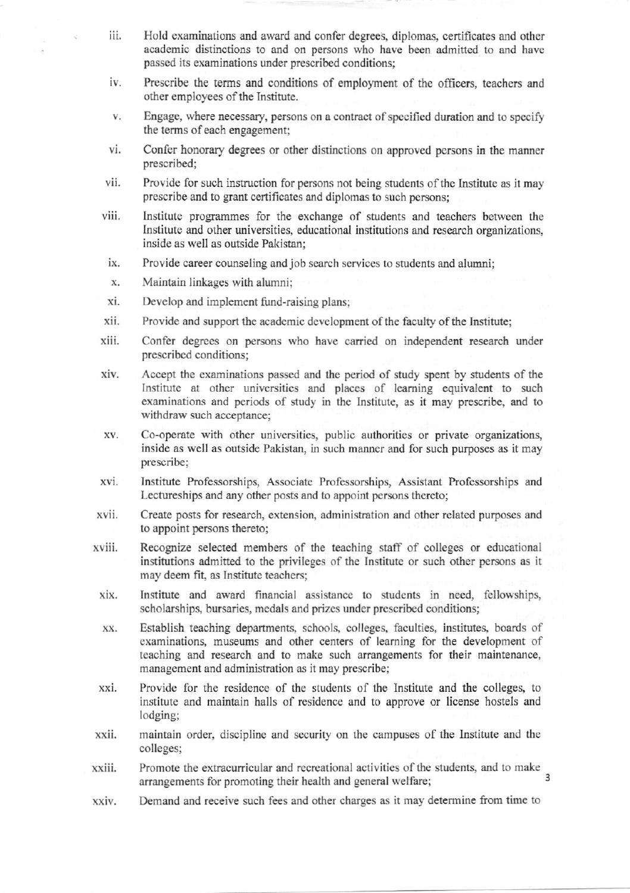- iii. Hold examinations and award and confer dcgrces, diplomas, certificates and othe. academic distinctions to and on persons who have been admitted to and have passed its examinations under prescribed conditions;
- iv. Prescribe the terms and conditions of employment of the officers, teachers and other employees of the Institute.
- Engage, where necessary, persons on a contract of specified duration and to specify V. the terms of each engagement;
- vi. Confer honorary degrees or other distinctions on approved persons in the manner prescribed;
- vii. Provide for such instruction for persons not being students of the Institute as it may prescribe and to grant certificates and diplomas to such persons;
- viii. lrstifute programmes for the exchange of students and teachers between the lnstitute and other universities, educational institutions and research organizations, inside as well as outside Pakistan;
- ix. Provide career counseling and job search services to students and alumni;
- X. Maintain linkages with alumni;
- xi-Develop and implement fund-raising plans;
- xii. Provide and support the academic development of the faculty of the Institute;
- xiii. Confer degrees on persons who have carried on independent research under prescribed conditions;
- Accept the examinations passed and the period of study spent by students of the xiv. Institute at other universities and places of learning equivalent to such exarninations and periods of study in the lnstitute, as it may prescribe, and to withdraw such acceptance;
- Co-operate with other universities, public authorities or private organizations, XV. inside as well as outside Pakistan, in such manner and for such purposes as it may prescribe;
- xvi. Instifute Professorships, Associate Professorships, Assistant Professorships and Lectureships and any other posts and to appoint persons thereto;
- Create posts for research, extension, administration and other related purposes and to appoint persons thereto; xvii.
- Recognize selected members of the teaching staff of colleges or educational institutions admitted to the privileges of the Institute or such other persons as it may deem fit, as Institute teachers; xviii.
- Institute and award financial assistance to students in need, fellowships, scholarships, bursaries, medals and prizes under prescribed conditions; xix.
- Establish teaching departments, schools, colleges, faculties, institutes, boards of examinations, museums and other centers of learning for the development of teaching and research and to make such arrangements for their maintenance, management and administration as it may prescribe; XX.
- Provide for the residence of the students of tho Institute and the colleges, to institute and maintain halls of residence and to approve or license hostels and lodging; xxi.
- maintain order, discipline and security on the campuses of the Institute and the colleges; xxii.
- Promote the extracurricular and recreational activities of the students, and to make xxiii. arrangements for promoting their health and general welfare; 3
- Demand and receive such fees and other chargcs as it may determine fiom time to xxiv.